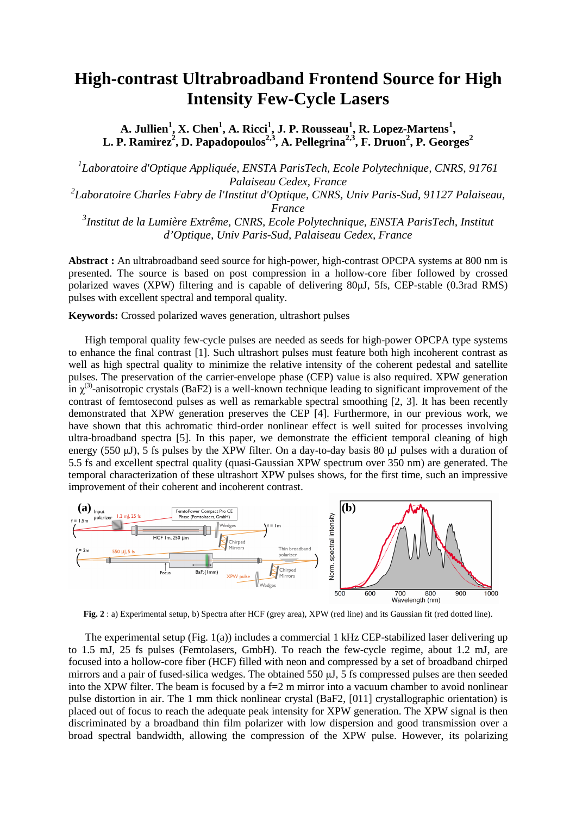## **High-contrast Ultrabroadband Frontend Source for High Intensity Few-Cycle Lasers**

**A. Jullien<sup>1</sup> , X. Chen<sup>1</sup> , A. Ricci<sup>1</sup> , J. P. Rousseau<sup>1</sup> , R. Lopez-Martens<sup>1</sup> , L. P. Ramirez<sup>2</sup> , D. Papadopoulos2,3, A. Pellegrina2,3, F. Druon<sup>2</sup> , P. Georges<sup>2</sup>**

*1 Laboratoire d'Optique Appliquée, ENSTA ParisTech, Ecole Polytechnique, CNRS, 91761 Palaiseau Cedex, France 2 Laboratoire Charles Fabry de l'Institut d'Optique, CNRS, Univ Paris-Sud, 91127 Palaiseau, France 3 Institut de la Lumière Extrême, CNRS, Ecole Polytechnique, ENSTA ParisTech, Institut d'Optique, Univ Paris-Sud, Palaiseau Cedex, France* 

**Abstract :** An ultrabroadband seed source for high-power, high-contrast OPCPA systems at 800 nm is presented. The source is based on post compression in a hollow-core fiber followed by crossed polarized waves (XPW) filtering and is capable of delivering 80µJ, 5fs, CEP-stable (0.3rad RMS) pulses with excellent spectral and temporal quality.

**Keywords:** Crossed polarized waves generation, ultrashort pulses

High temporal quality few-cycle pulses are needed as seeds for high-power OPCPA type systems to enhance the final contrast [1]. Such ultrashort pulses must feature both high incoherent contrast as well as high spectral quality to minimize the relative intensity of the coherent pedestal and satellite pulses. The preservation of the carrier-envelope phase (CEP) value is also required. XPW generation in  $\chi^{(3)}$ -anisotropic crystals (BaF2) is a well-known technique leading to significant improvement of the contrast of femtosecond pulses as well as remarkable spectral smoothing [2, 3]. It has been recently demonstrated that XPW generation preserves the CEP [4]. Furthermore, in our previous work, we have shown that this achromatic third-order nonlinear effect is well suited for processes involving ultra-broadband spectra [5]. In this paper, we demonstrate the efficient temporal cleaning of high energy (550  $\mu$ J), 5 fs pulses by the XPW filter. On a day-to-day basis 80  $\mu$ J pulses with a duration of 5.5 fs and excellent spectral quality (quasi-Gaussian XPW spectrum over 350 nm) are generated. The temporal characterization of these ultrashort XPW pulses shows, for the first time, such an impressive improvement of their coherent and incoherent contrast.



**Fig. 2** : a) Experimental setup, b) Spectra after HCF (grey area), XPW (red line) and its Gaussian fit (red dotted line).

The experimental setup (Fig. 1(a)) includes a commercial 1 kHz CEP-stabilized laser delivering up to 1.5 mJ, 25 fs pulses (Femtolasers, GmbH). To reach the few-cycle regime, about 1.2 mJ, are focused into a hollow-core fiber (HCF) filled with neon and compressed by a set of broadband chirped mirrors and a pair of fused-silica wedges. The obtained 550 µJ, 5 fs compressed pulses are then seeded into the XPW filter. The beam is focused by a  $f=2$  m mirror into a vacuum chamber to avoid nonlinear pulse distortion in air. The 1 mm thick nonlinear crystal (BaF2, [011] crystallographic orientation) is placed out of focus to reach the adequate peak intensity for XPW generation. The XPW signal is then discriminated by a broadband thin film polarizer with low dispersion and good transmission over a broad spectral bandwidth, allowing the compression of the XPW pulse. However, its polarizing